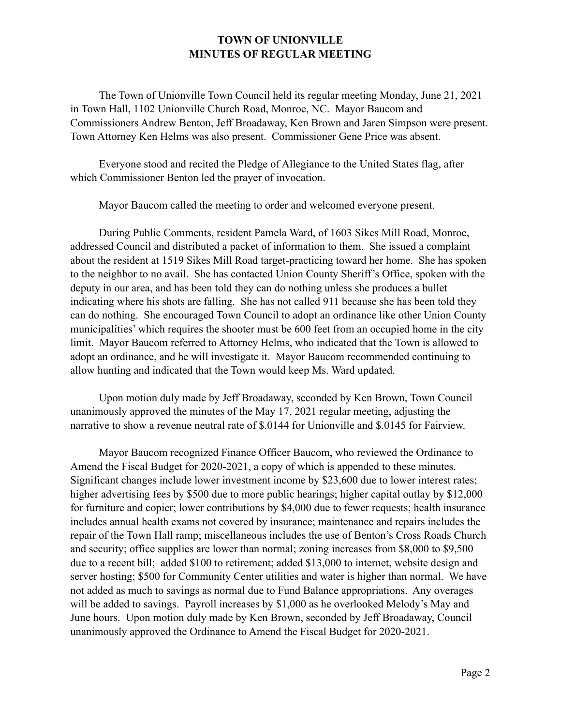## **TOWN OF UNIONVILLE MINUTES OF REGULAR MEETING**

The Town of Unionville Town Council held its regular meeting Monday, June 21, 2021 in Town Hall, 1102 Unionville Church Road, Monroe, NC. Mayor Baucom and Commissioners Andrew Benton, Jeff Broadaway, Ken Brown and Jaren Simpson were present. Town Attorney Ken Helms was also present. Commissioner Gene Price was absent.

Everyone stood and recited the Pledge of Allegiance to the United States flag, after which Commissioner Benton led the prayer of invocation.

Mayor Baucom called the meeting to order and welcomed everyone present.

During Public Comments, resident Pamela Ward, of 1603 Sikes Mill Road, Monroe, addressed Council and distributed a packet of information to them. She issued a complaint about the resident at 1519 Sikes Mill Road target-practicing toward her home. She has spoken to the neighbor to no avail. She has contacted Union County Sheriff's Office, spoken with the deputy in our area, and has been told they can do nothing unless she produces a bullet indicating where his shots are falling. She has not called 911 because she has been told they can do nothing. She encouraged Town Council to adopt an ordinance like other Union County municipalities' which requires the shooter must be 600 feet from an occupied home in the city limit. Mayor Baucom referred to Attorney Helms, who indicated that the Town is allowed to adopt an ordinance, and he will investigate it. Mayor Baucom recommended continuing to allow hunting and indicated that the Town would keep Ms. Ward updated.

Upon motion duly made by Jeff Broadaway, seconded by Ken Brown, Town Council unanimously approved the minutes of the May 17, 2021 regular meeting, adjusting the narrative to show a revenue neutral rate of \$.0144 for Unionville and \$.0145 for Fairview.

Mayor Baucom recognized Finance Officer Baucom, who reviewed the Ordinance to Amend the Fiscal Budget for 2020-2021, a copy of which is appended to these minutes. Significant changes include lower investment income by \$23,600 due to lower interest rates; higher advertising fees by \$500 due to more public hearings; higher capital outlay by \$12,000 for furniture and copier; lower contributions by \$4,000 due to fewer requests; health insurance includes annual health exams not covered by insurance; maintenance and repairs includes the repair of the Town Hall ramp; miscellaneous includes the use of Benton's Cross Roads Church and security; office supplies are lower than normal; zoning increases from \$8,000 to \$9,500 due to a recent bill; added \$100 to retirement; added \$13,000 to internet, website design and server hosting; \$500 for Community Center utilities and water is higher than normal. We have not added as much to savings as normal due to Fund Balance appropriations. Any overages will be added to savings. Payroll increases by \$1,000 as he overlooked Melody's May and June hours. Upon motion duly made by Ken Brown, seconded by Jeff Broadaway, Council unanimously approved the Ordinance to Amend the Fiscal Budget for 2020-2021.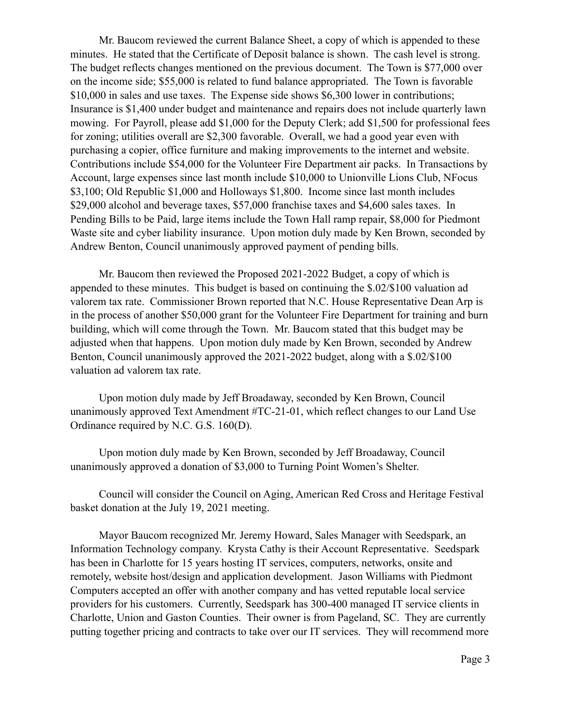Mr. Baucom reviewed the current Balance Sheet, a copy of which is appended to these minutes. He stated that the Certificate of Deposit balance is shown. The cash level is strong. The budget reflects changes mentioned on the previous document. The Town is \$77,000 over on the income side; \$55,000 is related to fund balance appropriated. The Town is favorable \$10,000 in sales and use taxes. The Expense side shows \$6,300 lower in contributions; Insurance is \$1,400 under budget and maintenance and repairs does not include quarterly lawn mowing. For Payroll, please add \$1,000 for the Deputy Clerk; add \$1,500 for professional fees for zoning; utilities overall are \$2,300 favorable. Overall, we had a good year even with purchasing a copier, office furniture and making improvements to the internet and website. Contributions include \$54,000 for the Volunteer Fire Department air packs. In Transactions by Account, large expenses since last month include \$10,000 to Unionville Lions Club, NFocus \$3,100; Old Republic \$1,000 and Holloways \$1,800. Income since last month includes \$29,000 alcohol and beverage taxes, \$57,000 franchise taxes and \$4,600 sales taxes. In Pending Bills to be Paid, large items include the Town Hall ramp repair, \$8,000 for Piedmont Waste site and cyber liability insurance. Upon motion duly made by Ken Brown, seconded by Andrew Benton, Council unanimously approved payment of pending bills.

Mr. Baucom then reviewed the Proposed 2021-2022 Budget, a copy of which is appended to these minutes. This budget is based on continuing the \$.02/\$100 valuation ad valorem tax rate. Commissioner Brown reported that N.C. House Representative Dean Arp is in the process of another \$50,000 grant for the Volunteer Fire Department for training and burn building, which will come through the Town. Mr. Baucom stated that this budget may be adjusted when that happens. Upon motion duly made by Ken Brown, seconded by Andrew Benton, Council unanimously approved the 2021-2022 budget, along with a \$.02/\$100 valuation ad valorem tax rate.

Upon motion duly made by Jeff Broadaway, seconded by Ken Brown, Council unanimously approved Text Amendment #TC-21-01, which reflect changes to our Land Use Ordinance required by N.C. G.S. 160(D).

Upon motion duly made by Ken Brown, seconded by Jeff Broadaway, Council unanimously approved a donation of \$3,000 to Turning Point Women's Shelter.

Council will consider the Council on Aging, American Red Cross and Heritage Festival basket donation at the July 19, 2021 meeting.

Mayor Baucom recognized Mr. Jeremy Howard, Sales Manager with Seedspark, an Information Technology company. Krysta Cathy is their Account Representative. Seedspark has been in Charlotte for 15 years hosting IT services, computers, networks, onsite and remotely, website host/design and application development. Jason Williams with Piedmont Computers accepted an offer with another company and has vetted reputable local service providers for his customers. Currently, Seedspark has 300-400 managed IT service clients in Charlotte, Union and Gaston Counties. Their owner is from Pageland, SC. They are currently putting together pricing and contracts to take over our IT services. They will recommend more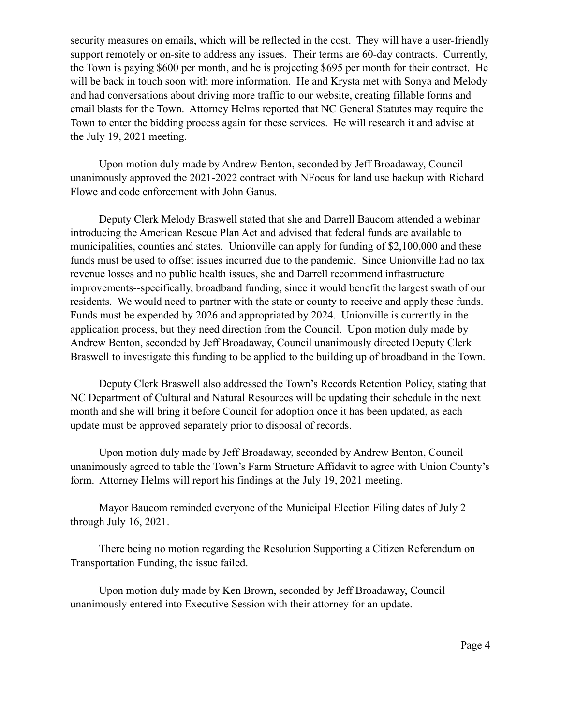security measures on emails, which will be reflected in the cost. They will have a user-friendly support remotely or on-site to address any issues. Their terms are 60-day contracts. Currently, the Town is paying \$600 per month, and he is projecting \$695 per month for their contract. He will be back in touch soon with more information. He and Krysta met with Sonya and Melody and had conversations about driving more traffic to our website, creating fillable forms and email blasts for the Town. Attorney Helms reported that NC General Statutes may require the Town to enter the bidding process again for these services. He will research it and advise at the July 19, 2021 meeting.

Upon motion duly made by Andrew Benton, seconded by Jeff Broadaway, Council unanimously approved the 2021-2022 contract with NFocus for land use backup with Richard Flowe and code enforcement with John Ganus.

Deputy Clerk Melody Braswell stated that she and Darrell Baucom attended a webinar introducing the American Rescue Plan Act and advised that federal funds are available to municipalities, counties and states. Unionville can apply for funding of \$2,100,000 and these funds must be used to offset issues incurred due to the pandemic. Since Unionville had no tax revenue losses and no public health issues, she and Darrell recommend infrastructure improvements--specifically, broadband funding, since it would benefit the largest swath of our residents. We would need to partner with the state or county to receive and apply these funds. Funds must be expended by 2026 and appropriated by 2024. Unionville is currently in the application process, but they need direction from the Council. Upon motion duly made by Andrew Benton, seconded by Jeff Broadaway, Council unanimously directed Deputy Clerk Braswell to investigate this funding to be applied to the building up of broadband in the Town.

Deputy Clerk Braswell also addressed the Town's Records Retention Policy, stating that NC Department of Cultural and Natural Resources will be updating their schedule in the next month and she will bring it before Council for adoption once it has been updated, as each update must be approved separately prior to disposal of records.

Upon motion duly made by Jeff Broadaway, seconded by Andrew Benton, Council unanimously agreed to table the Town's Farm Structure Affidavit to agree with Union County's form. Attorney Helms will report his findings at the July 19, 2021 meeting.

Mayor Baucom reminded everyone of the Municipal Election Filing dates of July 2 through July 16, 2021.

There being no motion regarding the Resolution Supporting a Citizen Referendum on Transportation Funding, the issue failed.

Upon motion duly made by Ken Brown, seconded by Jeff Broadaway, Council unanimously entered into Executive Session with their attorney for an update.